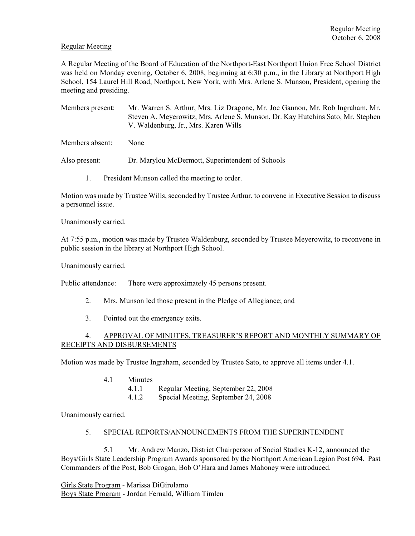## Regular Meeting

A Regular Meeting of the Board of Education of the Northport-East Northport Union Free School District was held on Monday evening, October 6, 2008, beginning at 6:30 p.m., in the Library at Northport High School, 154 Laurel Hill Road, Northport, New York, with Mrs. Arlene S. Munson, President, opening the meeting and presiding.

Members present: Mr. Warren S. Arthur, Mrs. Liz Dragone, Mr. Joe Gannon, Mr. Rob Ingraham, Mr. Steven A. Meyerowitz, Mrs. Arlene S. Munson, Dr. Kay Hutchins Sato, Mr. Stephen V. Waldenburg, Jr., Mrs. Karen Wills

Members absent: None

Also present: Dr. Marylou McDermott, Superintendent of Schools

1. President Munson called the meeting to order.

Motion was made by Trustee Wills, seconded by Trustee Arthur, to convene in Executive Session to discuss a personnel issue.

Unanimously carried.

At 7:55 p.m., motion was made by Trustee Waldenburg, seconded by Trustee Meyerowitz, to reconvene in public session in the library at Northport High School.

Unanimously carried.

Public attendance: There were approximately 45 persons present.

- 2. Mrs. Munson led those present in the Pledge of Allegiance; and
- 3. Pointed out the emergency exits.

# 4. APPROVAL OF MINUTES, TREASURER'S REPORT AND MONTHLY SUMMARY OF RECEIPTS AND DISBURSEMENTS

Motion was made by Trustee Ingraham, seconded by Trustee Sato, to approve all items under 4.1.

- 4.1 Minutes
	- 4.1.1 Regular Meeting, September 22, 2008
	- 4.1.2 Special Meeting, September 24, 2008

Unanimously carried.

#### 5. SPECIAL REPORTS/ANNOUNCEMENTS FROM THE SUPERINTENDENT

5.1 Mr. Andrew Manzo, District Chairperson of Social Studies K-12, announced the Boys/Girls State Leadership Program Awards sponsored by the Northport American Legion Post 694. Past Commanders of the Post, Bob Grogan, Bob O'Hara and James Mahoney were introduced.

Girls State Program - Marissa DiGirolamo Boys State Program - Jordan Fernald, William Timlen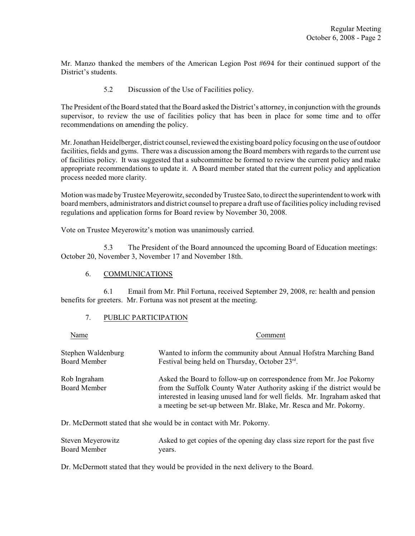Mr. Manzo thanked the members of the American Legion Post #694 for their continued support of the District's students.

5.2 Discussion of the Use of Facilities policy.

The President of the Board stated that the Board asked the District's attorney, in conjunction with the grounds supervisor, to review the use of facilities policy that has been in place for some time and to offer recommendations on amending the policy.

Mr. Jonathan Heidelberger, district counsel, reviewed the existing board policy focusing on the use of outdoor facilities, fields and gyms. There was a discussion among the Board members with regards to the current use of facilities policy. It was suggested that a subcommittee be formed to review the current policy and make appropriate recommendations to update it. A Board member stated that the current policy and application process needed more clarity.

Motion was made by Trustee Meyerowitz, seconded by Trustee Sato, to direct the superintendent to work with board members, administrators and district counsel to prepare a draft use of facilities policy including revised regulations and application forms for Board review by November 30, 2008.

Vote on Trustee Meyerowitz's motion was unanimously carried.

5.3 The President of the Board announced the upcoming Board of Education meetings: October 20, November 3, November 17 and November 18th.

# 6. COMMUNICATIONS

6.1 Email from Mr. Phil Fortuna, received September 29, 2008, re: health and pension benefits for greeters. Mr. Fortuna was not present at the meeting.

# 7. PUBLIC PARTICIPATION

| Name                                      | Comment                                                                                                                                                                                                                                                                                           |  |  |
|-------------------------------------------|---------------------------------------------------------------------------------------------------------------------------------------------------------------------------------------------------------------------------------------------------------------------------------------------------|--|--|
| Stephen Waldenburg<br><b>Board Member</b> | Wanted to inform the community about Annual Hofstra Marching Band<br>Festival being held on Thursday, October 23rd.                                                                                                                                                                               |  |  |
| Rob Ingraham<br><b>Board Member</b>       | Asked the Board to follow-up on correspondence from Mr. Joe Pokorny<br>from the Suffolk County Water Authority asking if the district would be<br>interested in leasing unused land for well fields. Mr. Ingraham asked that<br>a meeting be set-up between Mr. Blake, Mr. Resca and Mr. Pokorny. |  |  |

Dr. McDermott stated that she would be in contact with Mr. Pokorny.

| Steven Meyerowitz | Asked to get copies of the opening day class size report for the past five |
|-------------------|----------------------------------------------------------------------------|
| Board Member      | vears.                                                                     |

Dr. McDermott stated that they would be provided in the next delivery to the Board.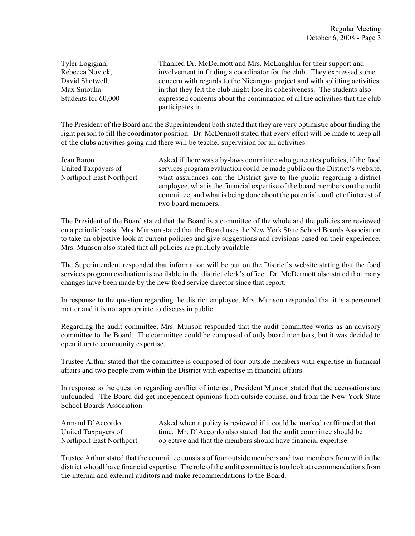Tyler Logigian, Thanked Dr. McDermott and Mrs. McLaughlin for their support and Rebecca Novick, involvement in finding a coordinator for the club. They expressed some David Shotwell, concern with regards to the Nicaragua project and with splitting activities Max Smouha in that they felt the club might lose its cohesiveness. The students also Students for 60,000 expressed concerns about the continuation of all the activities that the club participates in.

The President of the Board and the Superintendent both stated that they are very optimistic about finding the right person to fill the coordinator position. Dr. McDermott stated that every effort will be made to keep all of the clubs activities going and there will be teacher supervision for all activities.

Jean Baron Asked if there was a by-laws committee who generates policies, if the food United Taxpayers of services program evaluation could be made public on the District's website, Northport-East Northport what assurances can the District give to the public regarding a district employee, what is the financial expertise of the board members on the audit committee, and what is being done about the potential conflict of interest of two board members.

The President of the Board stated that the Board is a committee of the whole and the policies are reviewed on a periodic basis. Mrs. Munson stated that the Board uses the New York State School Boards Association to take an objective look at current policies and give suggestions and revisions based on their experience. Mrs. Munson also stated that all policies are publicly available.

The Superintendent responded that information will be put on the District's website stating that the food services program evaluation is available in the district clerk's office. Dr. McDermott also stated that many changes have been made by the new food service director since that report.

In response to the question regarding the district employee, Mrs. Munson responded that it is a personnel matter and it is not appropriate to discuss in public.

Regarding the audit committee, Mrs. Munson responded that the audit committee works as an advisory committee to the Board. The committee could be composed of only board members, but it was decided to open it up to community expertise.

Trustee Arthur stated that the committee is composed of four outside members with expertise in financial affairs and two people from within the District with expertise in financial affairs.

In response to the question regarding conflict of interest, President Munson stated that the accusations are unfounded. The Board did get independent opinions from outside counsel and from the New York State School Boards Association.

| Armand D'Accordo         | Asked when a policy is reviewed if it could be marked reaffirmed at that |
|--------------------------|--------------------------------------------------------------------------|
| United Taxpayers of      | time. Mr. D'Accordo also stated that the audit committee should be       |
| Northport-East Northport | objective and that the members should have financial expertise.          |

Trustee Arthur stated that the committee consists of four outside members and two members from within the district who all have financial expertise. The role of the audit committee is too look at recommendations from the internal and external auditors and make recommendations to the Board.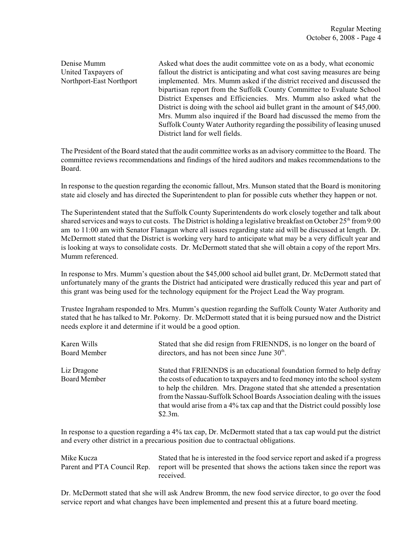Denise Mumm Asked what does the audit committee vote on as a body, what economic United Taxpayers of fallout the district is anticipating and what cost saving measures are being Northport-East Northport implemented. Mrs. Mumm asked if the district received and discussed the bipartisan report from the Suffolk County Committee to Evaluate School District Expenses and Efficiencies. Mrs. Mumm also asked what the District is doing with the school aid bullet grant in the amount of \$45,000. Mrs. Mumm also inquired if the Board had discussed the memo from the Suffolk County Water Authority regarding the possibility of leasing unused District land for well fields.

The President of the Board stated that the audit committee works as an advisory committee to the Board. The committee reviews recommendations and findings of the hired auditors and makes recommendations to the Board.

In response to the question regarding the economic fallout, Mrs. Munson stated that the Board is monitoring state aid closely and has directed the Superintendent to plan for possible cuts whether they happen or not.

The Superintendent stated that the Suffolk County Superintendents do work closely together and talk about shared services and ways to cut costs. The District is holding a legislative breakfast on October 25<sup>th</sup> from 9:00 am to 11:00 am with Senator Flanagan where all issues regarding state aid will be discussed at length. Dr. McDermott stated that the District is working very hard to anticipate what may be a very difficult year and is looking at ways to consolidate costs. Dr. McDermott stated that she will obtain a copy of the report Mrs. Mumm referenced.

In response to Mrs. Mumm's question about the \$45,000 school aid bullet grant, Dr. McDermott stated that unfortunately many of the grants the District had anticipated were drastically reduced this year and part of this grant was being used for the technology equipment for the Project Lead the Way program.

Trustee Ingraham responded to Mrs. Mumm's question regarding the Suffolk County Water Authority and stated that he has talked to Mr. Pokorny. Dr. McDermott stated that it is being pursued now and the District needs explore it and determine if it would be a good option.

| Karen Wills                        | Stated that she did resign from FRIENNDS, is no longer on the board of                                                                                                                                                                                                                                                                                                                                        |
|------------------------------------|---------------------------------------------------------------------------------------------------------------------------------------------------------------------------------------------------------------------------------------------------------------------------------------------------------------------------------------------------------------------------------------------------------------|
| <b>Board Member</b>                | directors, and has not been since June $30th$ .                                                                                                                                                                                                                                                                                                                                                               |
| Liz Dragone<br><b>Board Member</b> | Stated that FRIENNDS is an educational foundation formed to help defray<br>the costs of education to taxpayers and to feed money into the school system<br>to help the children. Mrs. Dragone stated that she attended a presentation<br>from the Nassau-Suffolk School Boards Association dealing with the issues<br>that would arise from a 4% tax cap and that the District could possibly lose<br>\$2.3m. |

In response to a question regarding a 4% tax cap, Dr. McDermott stated that a tax cap would put the district and every other district in a precarious position due to contractual obligations.

Mike Kucza Stated that he is interested in the food service report and asked if a progress Parent and PTA Council Rep. report will be presented that shows the actions taken since the report was received.

Dr. McDermott stated that she will ask Andrew Bromm, the new food service director, to go over the food service report and what changes have been implemented and present this at a future board meeting.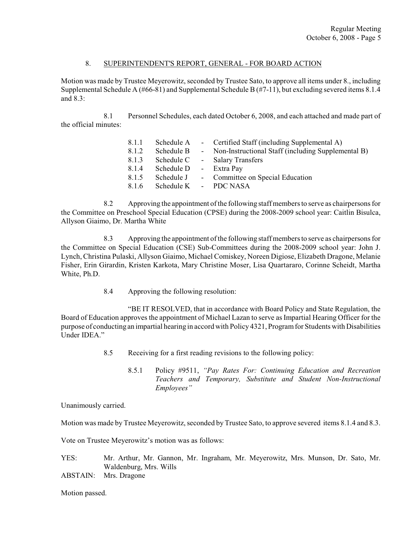# 8. SUPERINTENDENT'S REPORT, GENERAL - FOR BOARD ACTION

Motion was made by Trustee Meyerowitz, seconded by Trustee Sato, to approve all items under 8., including Supplemental Schedule A (#66-81) and Supplemental Schedule B (#7-11), but excluding severed items 8.1.4 and 8.3:

8.1 Personnel Schedules, each dated October 6, 2008, and each attached and made part of the official minutes:

| 8.1.1 |                        | Schedule A - Certified Staff (including Supplemental A)         |
|-------|------------------------|-----------------------------------------------------------------|
| 8.1.2 |                        | Schedule B - Non-Instructional Staff (including Supplemental B) |
| 8.1.3 |                        | Schedule C - Salary Transfers                                   |
| 8.1.4 | Schedule D - Extra Pay |                                                                 |
| 8.1.5 |                        | Schedule J - Committee on Special Education                     |
| 8.1.6 | Schedule K - PDC NASA  |                                                                 |

8.2 Approving the appointment of the following staff members to serve as chairpersons for the Committee on Preschool Special Education (CPSE) during the 2008-2009 school year: Caitlin Bisulca, Allyson Giaimo, Dr. Martha White

8.3 Approving the appointment of the following staff members to serve as chairpersons for the Committee on Special Education (CSE) Sub-Committees during the 2008-2009 school year: John J. Lynch, Christina Pulaski, Allyson Giaimo, Michael Comiskey, Noreen Digiose, Elizabeth Dragone, Melanie Fisher, Erin Girardin, Kristen Karkota, Mary Christine Moser, Lisa Quartararo, Corinne Scheidt, Martha White, Ph.D.

8.4 Approving the following resolution:

"BE IT RESOLVED, that in accordance with Board Policy and State Regulation, the Board of Education approves the appointment of Michael Lazan to serve as Impartial Hearing Officer for the purpose of conducting an impartial hearing in accord with Policy 4321, Program for Students with Disabilities Under IDEA."

- 8.5 Receiving for a first reading revisions to the following policy:
	- 8.5.1 Policy #9511, *"Pay Rates For: Continuing Education and Recreation Teachers and Temporary, Substitute and Student Non-Instructional Employees"*

Unanimously carried.

Motion was made by Trustee Meyerowitz, seconded by Trustee Sato, to approve severed items 8.1.4 and 8.3.

Vote on Trustee Meyerowitz's motion was as follows:

YES: Mr. Arthur, Mr. Gannon, Mr. Ingraham, Mr. Meyerowitz, Mrs. Munson, Dr. Sato, Mr. Waldenburg, Mrs. Wills ABSTAIN: Mrs. Dragone

Motion passed.